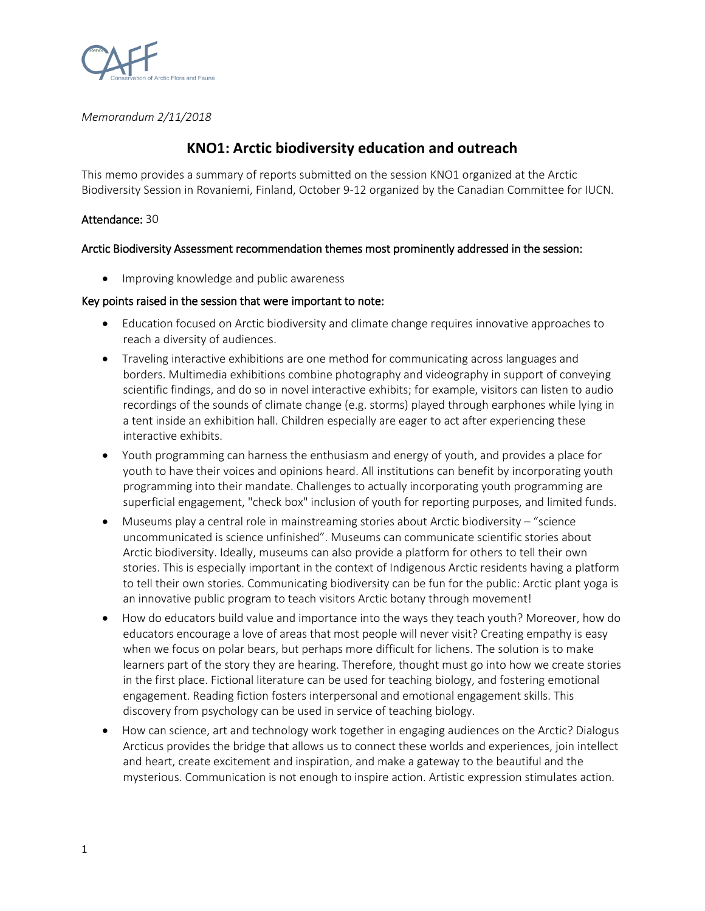

*Memorandum 2/11/2018*

# **KNO1: Arctic biodiversity education and outreach**

This memo provides a summary of reports submitted on the session KNO1 organized at the Arctic Biodiversity Session in Rovaniemi, Finland, October 9-12 organized by the Canadian Committee for IUCN.

#### Attendance: 30

## Arctic Biodiversity Assessment recommendation themes most prominently addressed in the session:

• Improving knowledge and public awareness

## Key points raised in the session that were important to note:

- Education focused on Arctic biodiversity and climate change requires innovative approaches to reach a diversity of audiences.
- Traveling interactive exhibitions are one method for communicating across languages and borders. Multimedia exhibitions combine photography and videography in support of conveying scientific findings, and do so in novel interactive exhibits; for example, visitors can listen to audio recordings of the sounds of climate change (e.g. storms) played through earphones while lying in a tent inside an exhibition hall. Children especially are eager to act after experiencing these interactive exhibits.
- Youth programming can harness the enthusiasm and energy of youth, and provides a place for youth to have their voices and opinions heard. All institutions can benefit by incorporating youth programming into their mandate. Challenges to actually incorporating youth programming are superficial engagement, "check box" inclusion of youth for reporting purposes, and limited funds.
- Museums play a central role in mainstreaming stories about Arctic biodiversity "science uncommunicated is science unfinished". Museums can communicate scientific stories about Arctic biodiversity. Ideally, museums can also provide a platform for others to tell their own stories. This is especially important in the context of Indigenous Arctic residents having a platform to tell their own stories. Communicating biodiversity can be fun for the public: Arctic plant yoga is an innovative public program to teach visitors Arctic botany through movement!
- How do educators build value and importance into the ways they teach youth? Moreover, how do educators encourage a love of areas that most people will never visit? Creating empathy is easy when we focus on polar bears, but perhaps more difficult for lichens. The solution is to make learners part of the story they are hearing. Therefore, thought must go into how we create stories in the first place. Fictional literature can be used for teaching biology, and fostering emotional engagement. Reading fiction fosters interpersonal and emotional engagement skills. This discovery from psychology can be used in service of teaching biology.
- How can science, art and technology work together in engaging audiences on the Arctic? Dialogus Arcticus provides the bridge that allows us to connect these worlds and experiences, join intellect and heart, create excitement and inspiration, and make a gateway to the beautiful and the mysterious. Communication is not enough to inspire action. Artistic expression stimulates action.